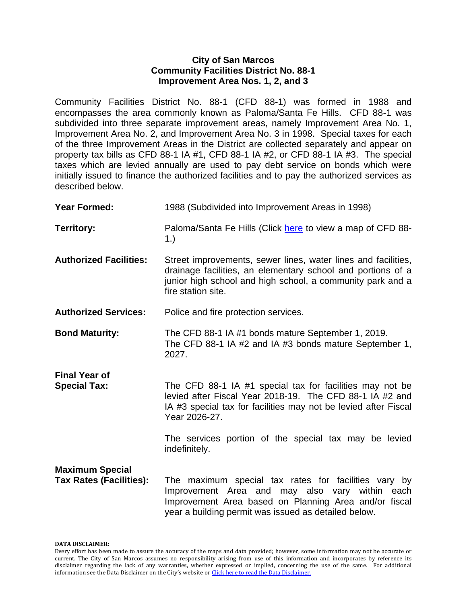## **City of San Marcos Community Facilities District No. 88-1 Improvement Area Nos. 1, 2, and 3**

Community Facilities District No. 88-1 (CFD 88-1) was formed in 1988 and encompasses the area commonly known as Paloma/Santa Fe Hills. CFD 88-1 was subdivided into three separate improvement areas, namely Improvement Area No. 1, Improvement Area No. 2, and Improvement Area No. 3 in 1998. Special taxes for each of the three Improvement Areas in the District are collected separately and appear on property tax bills as CFD 88-1 IA #1, CFD 88-1 IA #2, or CFD 88-1 IA #3. The special taxes which are levied annually are used to pay debt service on bonds which were initially issued to finance the authorized facilities and to pay the authorized services as described below.

| <b>Year Formed:</b>                                      | 1988 (Subdivided into Improvement Areas in 1998)                                                                                                                                                                           |  |  |
|----------------------------------------------------------|----------------------------------------------------------------------------------------------------------------------------------------------------------------------------------------------------------------------------|--|--|
| <b>Territory:</b>                                        | Paloma/Santa Fe Hills (Click here to view a map of CFD 88-<br>1.)                                                                                                                                                          |  |  |
| <b>Authorized Facilities:</b>                            | Street improvements, sewer lines, water lines and facilities,<br>drainage facilities, an elementary school and portions of a<br>junior high school and high school, a community park and a<br>fire station site.           |  |  |
| <b>Authorized Services:</b>                              | Police and fire protection services.                                                                                                                                                                                       |  |  |
| <b>Bond Maturity:</b>                                    | The CFD 88-1 IA #1 bonds mature September 1, 2019.<br>The CFD 88-1 IA #2 and IA #3 bonds mature September 1,<br>2027.                                                                                                      |  |  |
| <b>Final Year of</b><br><b>Special Tax:</b>              | The CFD 88-1 IA #1 special tax for facilities may not be<br>levied after Fiscal Year 2018-19. The CFD 88-1 IA #2 and<br>IA #3 special tax for facilities may not be levied after Fiscal<br>Year 2026-27.                   |  |  |
|                                                          | The services portion of the special tax may be levied<br>indefinitely.                                                                                                                                                     |  |  |
| <b>Maximum Special</b><br><b>Tax Rates (Facilities):</b> | The maximum special tax rates for facilities vary<br>by<br>Improvement Area and may also vary within each<br>Improvement Area based on Planning Area and/or fiscal<br>year a building permit was issued as detailed below. |  |  |

#### **DATA DISCLAIMER:**

Every effort has been made to assure the accuracy of the maps and data provided; however, some information may not be accurate or current. The City of San Marcos assumes no responsibility arising from use of this information and incorporates by reference its disclaimer regarding the lack of any warranties, whether expressed or implied, concerning the use of the same. For additional information see the Data Disclaimer on the City's website or [Click here to read the Data Disclaimer](http://www.ci.san-marcos.ca.us/index.aspx?page=33).